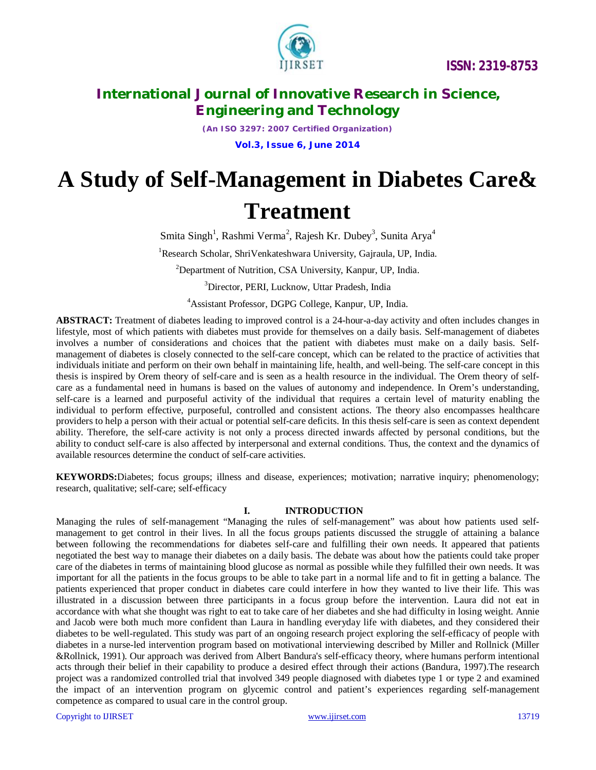

*(An ISO 3297: 2007 Certified Organization)* **Vol.3, Issue 6, June 2014**

# **A Study of Self-Management in Diabetes Care&**

## **Treatment**

Smita Singh<sup>1</sup>, Rashmi Verma<sup>2</sup>, Rajesh Kr. Dubey<sup>3</sup>, Sunita Arya<sup>4</sup>

<sup>1</sup>Research Scholar, ShriVenkateshwara University, Gajraula, UP, India.

<sup>2</sup>Department of Nutrition, CSA University, Kanpur, UP, India.

<sup>3</sup>Director, PERI, Lucknow, Uttar Pradesh, India

<sup>4</sup>Assistant Professor, DGPG College, Kanpur, UP, India.

**ABSTRACT:** Treatment of diabetes leading to improved control is a 24-hour-a-day activity and often includes changes in lifestyle, most of which patients with diabetes must provide for themselves on a daily basis. Self-management of diabetes involves a number of considerations and choices that the patient with diabetes must make on a daily basis. Selfmanagement of diabetes is closely connected to the self-care concept, which can be related to the practice of activities that individuals initiate and perform on their own behalf in maintaining life, health, and well-being. The self-care concept in this thesis is inspired by Orem theory of self-care and is seen as a health resource in the individual. The Orem theory of selfcare as a fundamental need in humans is based on the values of autonomy and independence. In Orem's understanding, self-care is a learned and purposeful activity of the individual that requires a certain level of maturity enabling the individual to perform effective, purposeful, controlled and consistent actions. The theory also encompasses healthcare providers to help a person with their actual or potential self-care deficits. In this thesis self-care is seen as context dependent ability. Therefore, the self-care activity is not only a process directed inwards affected by personal conditions, but the ability to conduct self-care is also affected by interpersonal and external conditions. Thus, the context and the dynamics of available resources determine the conduct of self-care activities.

**KEYWORDS:**Diabetes; focus groups; illness and disease, experiences; motivation; narrative inquiry; phenomenology; research, qualitative; self-care; self-efficacy

## **I. INTRODUCTION**

Managing the rules of self-management "Managing the rules of self-management" was about how patients used selfmanagement to get control in their lives. In all the focus groups patients discussed the struggle of attaining a balance between following the recommendations for diabetes self-care and fulfilling their own needs. It appeared that patients negotiated the best way to manage their diabetes on a daily basis. The debate was about how the patients could take proper care of the diabetes in terms of maintaining blood glucose as normal as possible while they fulfilled their own needs. It was important for all the patients in the focus groups to be able to take part in a normal life and to fit in getting a balance*.* The patients experienced that proper conduct in diabetes care could interfere in how they wanted to live their life. This was illustrated in a discussion between three participants in a focus group before the intervention. Laura did not eat in accordance with what she thought was right to eat to take care of her diabetes and she had difficulty in losing weight. Annie and Jacob were both much more confident than Laura in handling everyday life with diabetes, and they considered their diabetes to be well-regulated. This study was part of an ongoing research project exploring the self-efficacy of people with diabetes in a nurse-led intervention program based on motivational interviewing described by Miller and Rollnick (Miller &Rollnick, 1991). Our approach was derived from Albert Bandura's self-efficacy theory, where humans perform intentional acts through their belief in their capability to produce a desired effect through their actions (Bandura, 1997).The research project was a randomized controlled trial that involved 349 people diagnosed with diabetes type 1 or type 2 and examined the impact of an intervention program on glycemic control and patient's experiences regarding self-management competence as compared to usual care in the control group.

Copyright to UIRSET and the community of the control of the control of the control of the control of the control of the control of the control of the control of the control of the control of the control of the control of t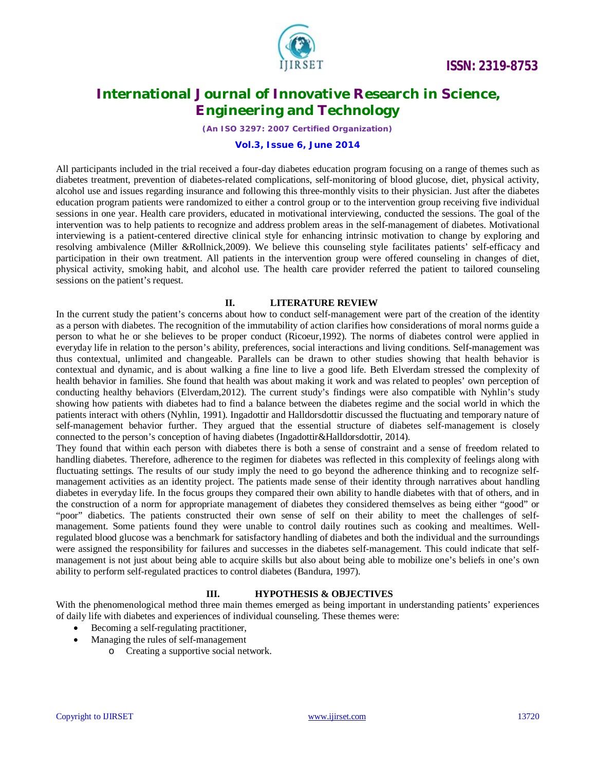

*(An ISO 3297: 2007 Certified Organization)*

## **Vol.3, Issue 6, June 2014**

All participants included in the trial received a four-day diabetes education program focusing on a range of themes such as diabetes treatment, prevention of diabetes-related complications, self-monitoring of blood glucose, diet, physical activity, alcohol use and issues regarding insurance and following this three-monthly visits to their physician. Just after the diabetes education program patients were randomized to either a control group or to the intervention group receiving five individual sessions in one year. Health care providers, educated in motivational interviewing, conducted the sessions. The goal of the intervention was to help patients to recognize and address problem areas in the self-management of diabetes. Motivational interviewing is a patient-centered directive clinical style for enhancing intrinsic motivation to change by exploring and resolving ambivalence (Miller &Rollnick,2009). We believe this counseling style facilitates patients' self-efficacy and participation in their own treatment. All patients in the intervention group were offered counseling in changes of diet, physical activity, smoking habit, and alcohol use. The health care provider referred the patient to tailored counseling sessions on the patient's request.

#### **II. LITERATURE REVIEW**

In the current study the patient's concerns about how to conduct self-management were part of the creation of the identity as a person with diabetes. The recognition of the immutability of action clarifies how considerations of moral norms guide a person to what he or she believes to be proper conduct (Ricoeur,1992). The norms of diabetes control were applied in everyday life in relation to the person's ability, preferences, social interactions and living conditions. Self-management was thus contextual, unlimited and changeable. Parallels can be drawn to other studies showing that health behavior is contextual and dynamic, and is about walking a fine line to live a good life. Beth Elverdam stressed the complexity of health behavior in families. She found that health was about making it work and was related to peoples' own perception of conducting healthy behaviors (Elverdam,2012). The current study's findings were also compatible with Nyhlin's study showing how patients with diabetes had to find a balance between the diabetes regime and the social world in which the patients interact with others (Nyhlin, 1991). Ingadottir and Halldorsdottir discussed the fluctuating and temporary nature of self-management behavior further. They argued that the essential structure of diabetes self-management is closely connected to the person's conception of having diabetes (Ingadottir&Halldorsdottir, 2014).

They found that within each person with diabetes there is both a sense of constraint and a sense of freedom related to handling diabetes. Therefore, adherence to the regimen for diabetes was reflected in this complexity of feelings along with fluctuating settings. The results of our study imply the need to go beyond the adherence thinking and to recognize selfmanagement activities as an identity project. The patients made sense of their identity through narratives about handling diabetes in everyday life. In the focus groups they compared their own ability to handle diabetes with that of others, and in the construction of a norm for appropriate management of diabetes they considered themselves as being either "good" or "poor" diabetics. The patients constructed their own sense of self on their ability to meet the challenges of selfmanagement. Some patients found they were unable to control daily routines such as cooking and mealtimes. Wellregulated blood glucose was a benchmark for satisfactory handling of diabetes and both the individual and the surroundings were assigned the responsibility for failures and successes in the diabetes self-management. This could indicate that selfmanagement is not just about being able to acquire skills but also about being able to mobilize one's beliefs in one's own ability to perform self-regulated practices to control diabetes (Bandura, 1997).

## **III. HYPOTHESIS & OBJECTIVES**

With the phenomenological method three main themes emerged as being important in understanding patients' experiences of daily life with diabetes and experiences of individual counseling. These themes were:

- Becoming a self-regulating practitioner,
- Managing the rules of self-management
	- o Creating a supportive social network.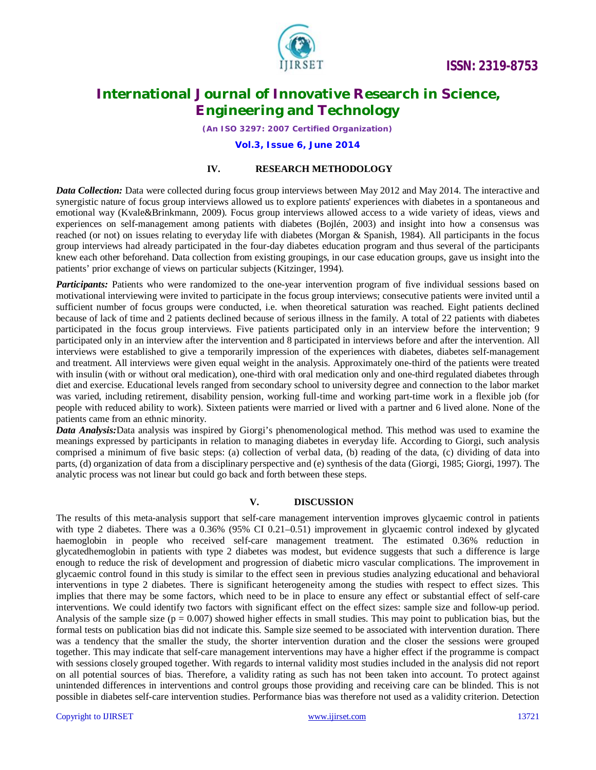

*(An ISO 3297: 2007 Certified Organization)*

#### **Vol.3, Issue 6, June 2014**

## **IV. RESEARCH METHODOLOGY**

*Data Collection:* Data were collected during focus group interviews between May 2012 and May 2014. The interactive and synergistic nature of focus group interviews allowed us to explore patients' experiences with diabetes in a spontaneous and emotional way (Kvale&Brinkmann, 2009). Focus group interviews allowed access to a wide variety of ideas, views and experiences on self-management among patients with diabetes (Bojlén, 2003) and insight into how a consensus was reached (or not) on issues relating to everyday life with diabetes (Morgan & Spanish, 1984). All participants in the focus group interviews had already participated in the four-day diabetes education program and thus several of the participants knew each other beforehand. Data collection from existing groupings, in our case education groups, gave us insight into the patients' prior exchange of views on particular subjects (Kitzinger, 1994).

**Participants:** Patients who were randomized to the one-year intervention program of five individual sessions based on motivational interviewing were invited to participate in the focus group interviews; consecutive patients were invited until a sufficient number of focus groups were conducted, i.e. when theoretical saturation was reached. Eight patients declined because of lack of time and 2 patients declined because of serious illness in the family. A total of 22 patients with diabetes participated in the focus group interviews. Five patients participated only in an interview before the intervention; 9 participated only in an interview after the intervention and 8 participated in interviews before and after the intervention. All interviews were established to give a temporarily impression of the experiences with diabetes, diabetes self-management and treatment. All interviews were given equal weight in the analysis. Approximately one-third of the patients were treated with insulin (with or without oral medication), one-third with oral medication only and one-third regulated diabetes through diet and exercise. Educational levels ranged from secondary school to university degree and connection to the labor market was varied, including retirement, disability pension, working full-time and working part-time work in a flexible job (for people with reduced ability to work). Sixteen patients were married or lived with a partner and 6 lived alone. None of the patients came from an ethnic minority.

*Data Analysis:*Data analysis was inspired by Giorgi's phenomenological method. This method was used to examine the meanings expressed by participants in relation to managing diabetes in everyday life. According to Giorgi, such analysis comprised a minimum of five basic steps: (a) collection of verbal data, (b) reading of the data, (c) dividing of data into parts, (d) organization of data from a disciplinary perspective and (e) synthesis of the data (Giorgi, 1985; Giorgi, 1997). The analytic process was not linear but could go back and forth between these steps.

#### **V. DISCUSSION**

The results of this meta-analysis support that self-care management intervention improves glycaemic control in patients with type 2 diabetes. There was a 0.36% (95% CI 0.21–0.51) improvement in glycaemic control indexed by glycated haemoglobin in people who received self-care management treatment. The estimated 0.36% reduction in glycatedhemoglobin in patients with type 2 diabetes was modest, but evidence suggests that such a difference is large enough to reduce the risk of development and progression of diabetic micro vascular complications. The improvement in glycaemic control found in this study is similar to the effect seen in previous studies analyzing educational and behavioral interventions in type 2 diabetes. There is significant heterogeneity among the studies with respect to effect sizes. This implies that there may be some factors, which need to be in place to ensure any effect or substantial effect of self-care interventions. We could identify two factors with significant effect on the effect sizes: sample size and follow-up period. Analysis of the sample size ( $p = 0.007$ ) showed higher effects in small studies. This may point to publication bias, but the formal tests on publication bias did not indicate this. Sample size seemed to be associated with intervention duration. There was a tendency that the smaller the study, the shorter intervention duration and the closer the sessions were grouped together. This may indicate that self-care management interventions may have a higher effect if the programme is compact with sessions closely grouped together. With regards to internal validity most studies included in the analysis did not report on all potential sources of bias. Therefore, a validity rating as such has not been taken into account. To protect against unintended differences in interventions and control groups those providing and receiving care can be blinded. This is not possible in diabetes self-care intervention studies. Performance bias was therefore not used as a validity criterion. Detection